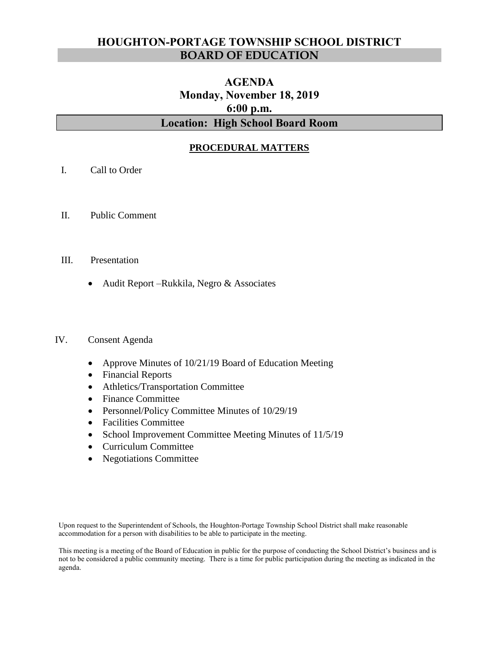# **HOUGHTON-PORTAGE TOWNSHIP SCHOOL DISTRICT BOARD OF EDUCATION**

# **AGENDA Monday, November 18, 2019 6:00 p.m. Location: High School Board Room**

# **PROCEDURAL MATTERS**

- I. Call to Order
- II. Public Comment
- III. Presentation
	- Audit Report Rukkila, Negro & Associates

#### IV. Consent Agenda

- Approve Minutes of 10/21/19 Board of Education Meeting
- Financial Reports
- Athletics/Transportation Committee
- Finance Committee
- Personnel/Policy Committee Minutes of 10/29/19
- Facilities Committee
- School Improvement Committee Meeting Minutes of 11/5/19
- Curriculum Committee
- Negotiations Committee

Upon request to the Superintendent of Schools, the Houghton-Portage Township School District shall make reasonable accommodation for a person with disabilities to be able to participate in the meeting.

This meeting is a meeting of the Board of Education in public for the purpose of conducting the School District's business and is not to be considered a public community meeting. There is a time for public participation during the meeting as indicated in the agenda.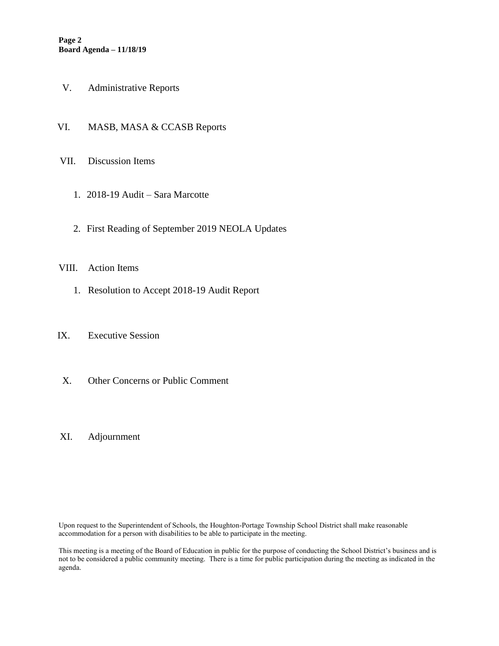- V. Administrative Reports
- VI. MASB, MASA & CCASB Reports
- VII. Discussion Items
	- 1. 2018-19 Audit Sara Marcotte
	- 2. First Reading of September 2019 NEOLA Updates

#### VIII. Action Items

1. Resolution to Accept 2018-19 Audit Report

#### IX. Executive Session

X. Other Concerns or Public Comment

## XI. Adjournment

Upon request to the Superintendent of Schools, the Houghton-Portage Township School District shall make reasonable accommodation for a person with disabilities to be able to participate in the meeting.

This meeting is a meeting of the Board of Education in public for the purpose of conducting the School District's business and is not to be considered a public community meeting. There is a time for public participation during the meeting as indicated in the agenda.